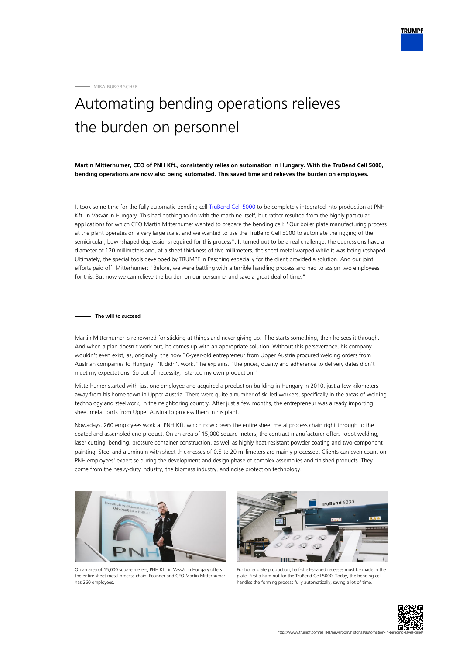MIRA BURGBACHER

## Automating bending operations relieves the burden on personnel

**Martin Mitterhumer, CEO of PNH Kft., consistently relies on automation in Hungary. With the TruBend Cell 5000, bending operations are now also being automated. This saved time and relieves the burden on employees.**

It took some time for the fully automatic bending cell [TruBend Cell 5000 t](https://www.trumpf.com/es_INT/productos/maquinas-sistemas/maquinas-de-plegado/trubend-cell-5000/)o be completely integrated into production at PNH Kft. in Vasvár in Hungary. This had nothing to do with the machine itself, but rather resulted from the highly particular applications for which CEO Martin Mitterhumer wanted to prepare the bending cell: "Our boiler plate manufacturing process at the plant operates on a very large scale, and we wanted to use the TruBend Cell 5000 to automate the rigging of the semicircular, bowl-shaped depressions required for this process". It turned out to be a real challenge: the depressions have a diameter of 120 millimeters and, at a sheet thickness of five millimeters, the sheet metal warped while it was being reshaped. Ultimately, the special tools developed by TRUMPF in Pasching especially for the client provided a solution. And our joint efforts paid off. Mitterhumer: "Before, we were battling with a terrible handling process and had to assign two employees for this. But now we can relieve the burden on our personnel and save a great deal of time."

## **The will to succeed**

Martin Mitterhumer is renowned for sticking at things and never giving up. If he starts something, then he sees it through. And when a plan doesn't work out, he comes up with an appropriate solution. Without this perseverance, his company wouldn't even exist, as, originally, the now 36-year-old entrepreneur from Upper Austria procured welding orders from Austrian companies to Hungary. "It didn't work," he explains, "the prices, quality and adherence to delivery dates didn't meet my expectations. So out of necessity, I started my own production."

Mitterhumer started with just one employee and acquired a production building in Hungary in 2010, just a few kilometers away from his home town in Upper Austria. There were quite a number of skilled workers, specifically in the areas of welding technology and steelwork, in the neighboring country. After just a few months, the entrepreneur was already importing sheet metal parts from Upper Austria to process them in his plant.

Nowadays, 260 employees work at PNH Kft. which now covers the entire sheet metal process chain right through to the coated and assembled end product. On an area of 15,000 square meters, the contract manufacturer offers robot welding, laser cutting, bending, pressure container construction, as well as highly heat-resistant powder coating and two-component painting. Steel and aluminum with sheet thicknesses of 0.5 to 20 millimeters are mainly processed. Clients can even count on PNH employees' expertise during the development and design phase of complex assemblies and finished products. They come from the heavy-duty industry, the biomass industry, and noise protection technology.



On an area of 15,000 square meters, PNH Kft. in Vasvár in Hungary offers the entire sheet metal process chain. Founder and CEO Martin Mitterhumer has 260 employees.



For boiler plate production, half-shell-shaped recesses must be made in the plate. First a hard nut for the TruBend Cell 5000. Today, the bending cell handles the forming process fully automatically, saving a lot of time.

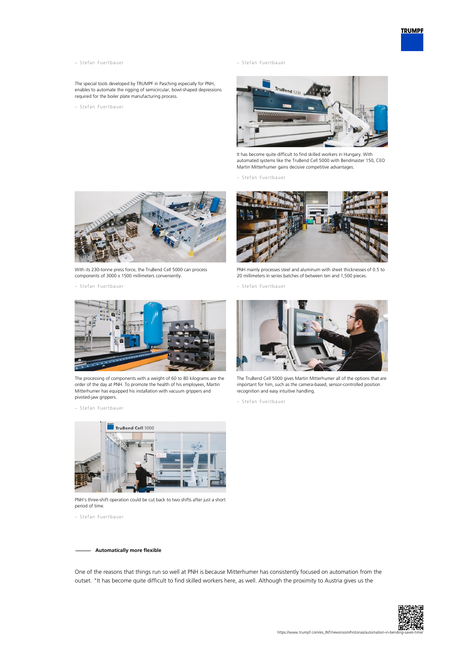- 
- The special tools developed by TRUMPF in Pasching especially for PNH, enables to automate the rigging of semicircular, bowl-shaped depressions required for the boiler plate manufacturing process.
- Stefan Fuertbauer

– Stefan Fuertbauer – Stefan Fuertbauer



It has become quite difficult to find skilled workers in Hungary. With automated systems like the TruBend Cell 5000 with Bendmaster 150, CEO Martin Mitterhumer gains decisive competitive advantages.

– Stefan Fuertbauer



With its 230-tonne press force, the TruBend Cell 5000 can process components of 3000 x 1500 millimeters conveniently.

– Stefan Fuertbauer



The processing of components with a weight of 60 to 80 kilograms are the order of the day at PNH. To promote the health of his employees, Martin Mitterhumer has equipped his installation with vacuum grippers and pivoted-jaw grippers.

– Stefan Fuertbauer



PNH mainly processes steel and aluminum with sheet thicknesses of 0.5 to 20 millimeters in series batches of between ten and 1,500 pieces.

– Stefan Fuertbauer



The TruBend Cell 5000 gives Martin Mitterhumer all of the options that are important for him, such as the camera-based, sensor-controlled position recognition and easy intuitive handling.

– Stefan Fuertbauer



PNH's three-shift operation could be cut back to two shifts after just a short period of time.

– Stefan Fuertbauer

**Automatically more flexible**

One of the reasons that things run so well at PNH is because Mitterhumer has consistently focused on automation from the outset. "It has become quite difficult to find skilled workers here, as well. Although the proximity to Austria gives us the